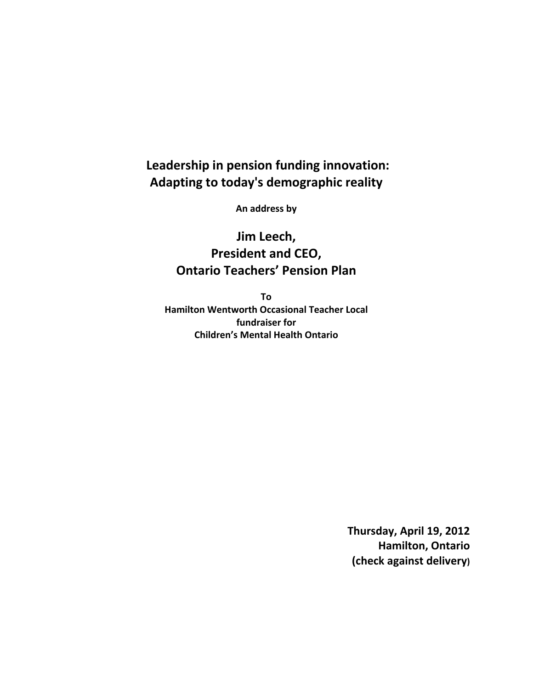## **Leadership in pension funding innovation: Adapting to today's demographic reality**

**An address by**

**Jim Leech, President and CEO, Ontario Teachers' Pension Plan**

**To Hamilton Wentworth Occasional Teacher Local fundraiser for Children's Mental Health Ontario**

> **Thursday, April 19, 2012 Hamilton, Ontario (check against delivery)**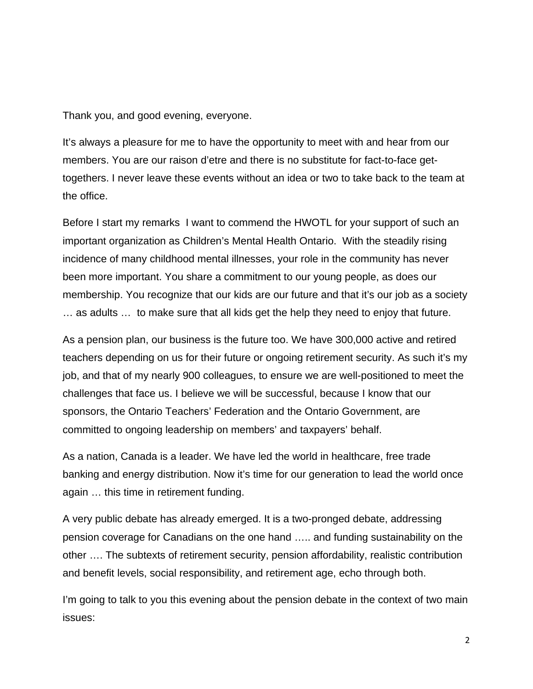Thank you, and good evening, everyone.

It's always a pleasure for me to have the opportunity to meet with and hear from our members. You are our raison d'etre and there is no substitute for fact-to-face gettogethers. I never leave these events without an idea or two to take back to the team at the office.

Before I start my remarks I want to commend the HWOTL for your support of such an important organization as Children's Mental Health Ontario. With the steadily rising incidence of many childhood mental illnesses, your role in the community has never been more important. You share a commitment to our young people, as does our membership. You recognize that our kids are our future and that it's our job as a society … as adults … to make sure that all kids get the help they need to enjoy that future.

As a pension plan, our business is the future too. We have 300,000 active and retired teachers depending on us for their future or ongoing retirement security. As such it's my job, and that of my nearly 900 colleagues, to ensure we are well-positioned to meet the challenges that face us. I believe we will be successful, because I know that our sponsors, the Ontario Teachers' Federation and the Ontario Government, are committed to ongoing leadership on members' and taxpayers' behalf.

As a nation, Canada is a leader. We have led the world in healthcare, free trade banking and energy distribution. Now it's time for our generation to lead the world once again … this time in retirement funding.

A very public debate has already emerged. It is a two-pronged debate, addressing pension coverage for Canadians on the one hand ….. and funding sustainability on the other …. The subtexts of retirement security, pension affordability, realistic contribution and benefit levels, social responsibility, and retirement age, echo through both.

I'm going to talk to you this evening about the pension debate in the context of two main issues: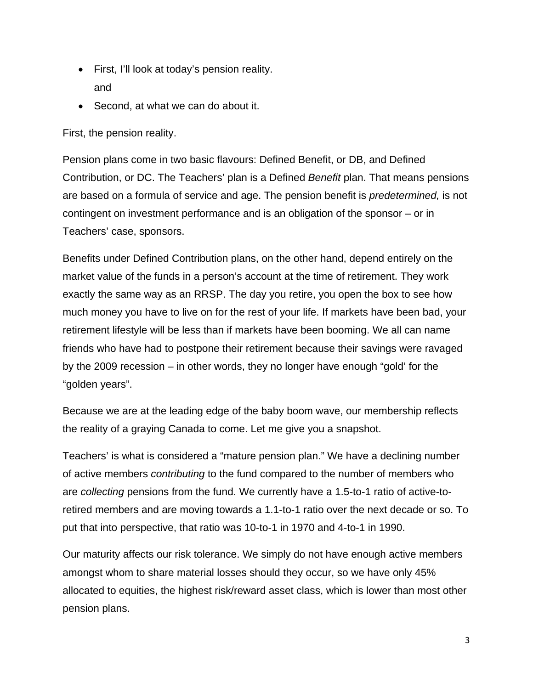- First, I'll look at today's pension reality. and
- Second, at what we can do about it.

First, the pension reality.

Pension plans come in two basic flavours: Defined Benefit, or DB, and Defined Contribution, or DC. The Teachers' plan is a Defined *Benefit* plan. That means pensions are based on a formula of service and age. The pension benefit is *predetermined,* is not contingent on investment performance and is an obligation of the sponsor – or in Teachers' case, sponsors.

Benefits under Defined Contribution plans, on the other hand, depend entirely on the market value of the funds in a person's account at the time of retirement. They work exactly the same way as an RRSP. The day you retire, you open the box to see how much money you have to live on for the rest of your life. If markets have been bad, your retirement lifestyle will be less than if markets have been booming. We all can name friends who have had to postpone their retirement because their savings were ravaged by the 2009 recession – in other words, they no longer have enough "gold' for the "golden years".

Because we are at the leading edge of the baby boom wave, our membership reflects the reality of a graying Canada to come. Let me give you a snapshot.

Teachers' is what is considered a "mature pension plan." We have a declining number of active members *contributing* to the fund compared to the number of members who are *collecting* pensions from the fund. We currently have a 1.5-to-1 ratio of active-toretired members and are moving towards a 1.1-to-1 ratio over the next decade or so. To put that into perspective, that ratio was 10-to-1 in 1970 and 4-to-1 in 1990.

Our maturity affects our risk tolerance. We simply do not have enough active members amongst whom to share material losses should they occur, so we have only 45% allocated to equities, the highest risk/reward asset class, which is lower than most other pension plans.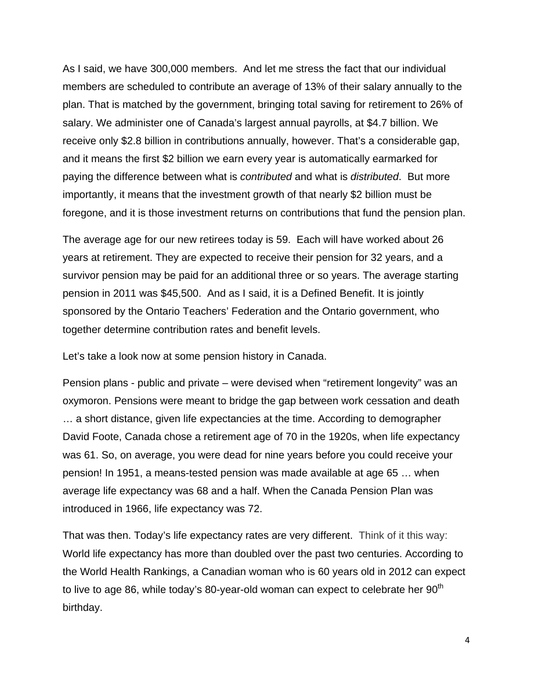As I said, we have 300,000 members. And let me stress the fact that our individual members are scheduled to contribute an average of 13% of their salary annually to the plan. That is matched by the government, bringing total saving for retirement to 26% of salary. We administer one of Canada's largest annual payrolls, at \$4.7 billion. We receive only \$2.8 billion in contributions annually, however. That's a considerable gap, and it means the first \$2 billion we earn every year is automatically earmarked for paying the difference between what is *contributed* and what is *distributed*. But more importantly, it means that the investment growth of that nearly \$2 billion must be foregone, and it is those investment returns on contributions that fund the pension plan.

The average age for our new retirees today is 59. Each will have worked about 26 years at retirement. They are expected to receive their pension for 32 years, and a survivor pension may be paid for an additional three or so years. The average starting pension in 2011 was \$45,500. And as I said, it is a Defined Benefit. It is jointly sponsored by the Ontario Teachers' Federation and the Ontario government, who together determine contribution rates and benefit levels.

Let's take a look now at some pension history in Canada.

Pension plans - public and private – were devised when "retirement longevity" was an oxymoron. Pensions were meant to bridge the gap between work cessation and death … a short distance, given life expectancies at the time. According to demographer David Foote, Canada chose a retirement age of 70 in the 1920s, when life expectancy was 61. So, on average, you were dead for nine years before you could receive your pension! In 1951, a means-tested pension was made available at age 65 … when average life expectancy was 68 and a half. When the Canada Pension Plan was introduced in 1966, life expectancy was 72.

That was then. Today's life expectancy rates are very different. Think of it this way: World life expectancy has more than doubled over the past two centuries. According to the World Health Rankings, a Canadian woman who is 60 years old in 2012 can expect to live to age 86, while today's 80-year-old woman can expect to celebrate her  $90<sup>th</sup>$ birthday.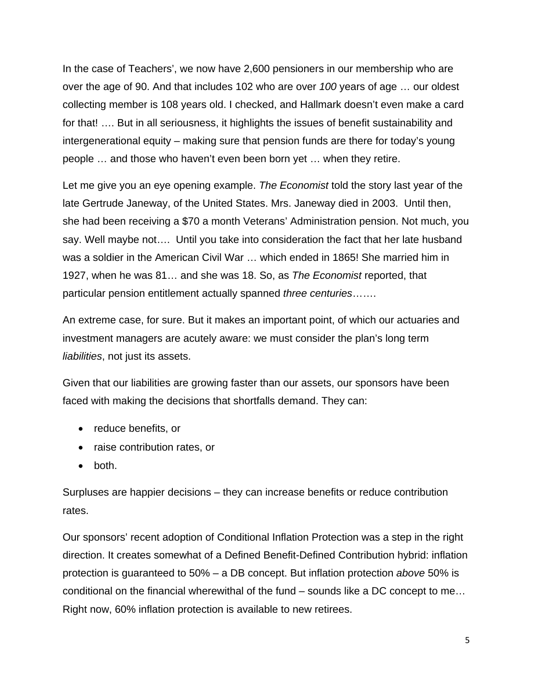In the case of Teachers', we now have 2,600 pensioners in our membership who are over the age of 90. And that includes 102 who are over *100* years of age … our oldest collecting member is 108 years old. I checked, and Hallmark doesn't even make a card for that! …. But in all seriousness, it highlights the issues of benefit sustainability and intergenerational equity – making sure that pension funds are there for today's young people … and those who haven't even been born yet … when they retire.

Let me give you an eye opening example. *The Economist* told the story last year of the late Gertrude Janeway, of the United States. Mrs. Janeway died in 2003. Until then, she had been receiving a \$70 a month Veterans' Administration pension. Not much, you say. Well maybe not…. Until you take into consideration the fact that her late husband was a soldier in the American Civil War … which ended in 1865! She married him in 1927, when he was 81… and she was 18. So, as *The Economist* reported, that particular pension entitlement actually spanned *three centuries*…….

An extreme case, for sure. But it makes an important point, of which our actuaries and investment managers are acutely aware: we must consider the plan's long term *liabilities*, not just its assets.

Given that our liabilities are growing faster than our assets, our sponsors have been faced with making the decisions that shortfalls demand. They can:

- reduce benefits, or
- raise contribution rates, or
- both.

Surpluses are happier decisions – they can increase benefits or reduce contribution rates.

Our sponsors' recent adoption of Conditional Inflation Protection was a step in the right direction. It creates somewhat of a Defined Benefit-Defined Contribution hybrid: inflation protection is guaranteed to 50% – a DB concept. But inflation protection *above* 50% is conditional on the financial wherewithal of the fund – sounds like a DC concept to me… Right now, 60% inflation protection is available to new retirees.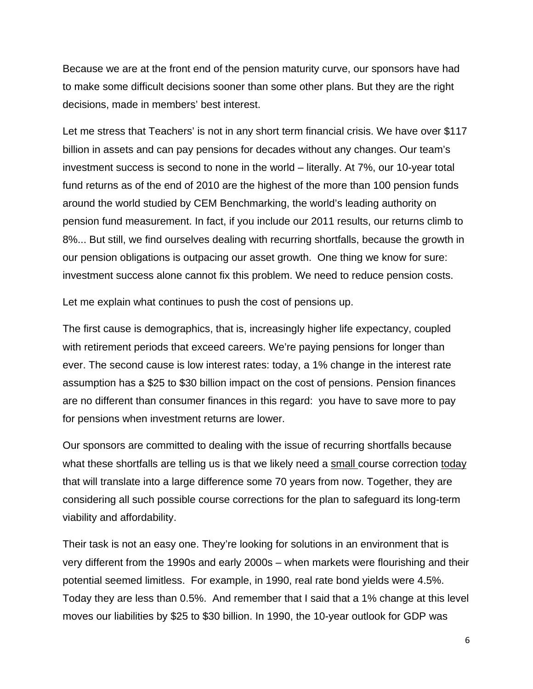Because we are at the front end of the pension maturity curve, our sponsors have had to make some difficult decisions sooner than some other plans. But they are the right decisions, made in members' best interest.

Let me stress that Teachers' is not in any short term financial crisis. We have over \$117 billion in assets and can pay pensions for decades without any changes. Our team's investment success is second to none in the world – literally. At 7%, our 10-year total fund returns as of the end of 2010 are the highest of the more than 100 pension funds around the world studied by CEM Benchmarking, the world's leading authority on pension fund measurement. In fact, if you include our 2011 results, our returns climb to 8%... But still, we find ourselves dealing with recurring shortfalls, because the growth in our pension obligations is outpacing our asset growth. One thing we know for sure: investment success alone cannot fix this problem. We need to reduce pension costs.

Let me explain what continues to push the cost of pensions up.

The first cause is demographics, that is, increasingly higher life expectancy, coupled with retirement periods that exceed careers. We're paying pensions for longer than ever. The second cause is low interest rates: today, a 1% change in the interest rate assumption has a \$25 to \$30 billion impact on the cost of pensions. Pension finances are no different than consumer finances in this regard: you have to save more to pay for pensions when investment returns are lower.

Our sponsors are committed to dealing with the issue of recurring shortfalls because what these shortfalls are telling us is that we likely need a small course correction today that will translate into a large difference some 70 years from now. Together, they are considering all such possible course corrections for the plan to safeguard its long-term viability and affordability.

Their task is not an easy one. They're looking for solutions in an environment that is very different from the 1990s and early 2000s – when markets were flourishing and their potential seemed limitless. For example, in 1990, real rate bond yields were 4.5%. Today they are less than 0.5%. And remember that I said that a 1% change at this level moves our liabilities by \$25 to \$30 billion. In 1990, the 10-year outlook for GDP was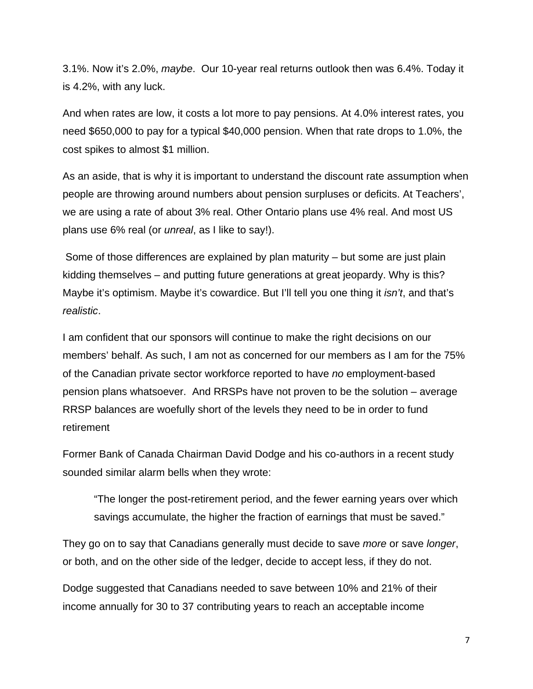3.1%. Now it's 2.0%, *maybe*. Our 10-year real returns outlook then was 6.4%. Today it is 4.2%, with any luck.

And when rates are low, it costs a lot more to pay pensions. At 4.0% interest rates, you need \$650,000 to pay for a typical \$40,000 pension. When that rate drops to 1.0%, the cost spikes to almost \$1 million.

As an aside, that is why it is important to understand the discount rate assumption when people are throwing around numbers about pension surpluses or deficits. At Teachers', we are using a rate of about 3% real. Other Ontario plans use 4% real. And most US plans use 6% real (or *unreal*, as I like to say!).

 Some of those differences are explained by plan maturity – but some are just plain kidding themselves – and putting future generations at great jeopardy. Why is this? Maybe it's optimism. Maybe it's cowardice. But I'll tell you one thing it *isn't*, and that's *realistic*.

I am confident that our sponsors will continue to make the right decisions on our members' behalf. As such, I am not as concerned for our members as I am for the 75% of the Canadian private sector workforce reported to have *no* employment-based pension plans whatsoever. And RRSPs have not proven to be the solution – average RRSP balances are woefully short of the levels they need to be in order to fund retirement

Former Bank of Canada Chairman David Dodge and his co-authors in a recent study sounded similar alarm bells when they wrote:

"The longer the post-retirement period, and the fewer earning years over which savings accumulate, the higher the fraction of earnings that must be saved."

They go on to say that Canadians generally must decide to save *more* or save *longer*, or both, and on the other side of the ledger, decide to accept less, if they do not.

Dodge suggested that Canadians needed to save between 10% and 21% of their income annually for 30 to 37 contributing years to reach an acceptable income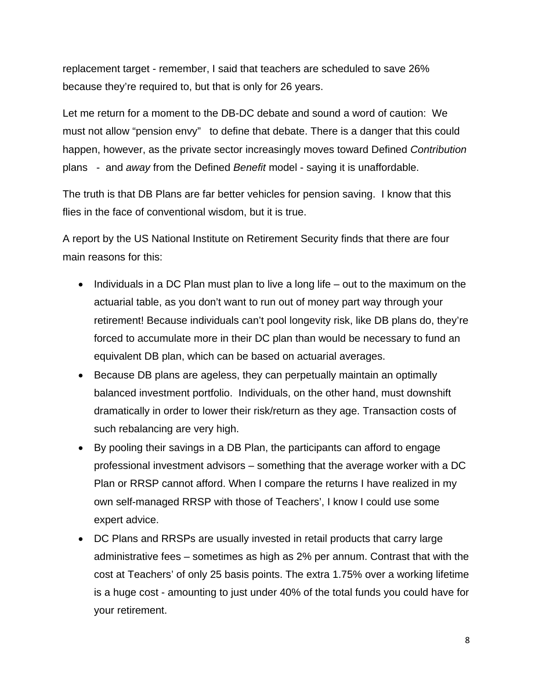replacement target - remember, I said that teachers are scheduled to save 26% because they're required to, but that is only for 26 years.

Let me return for a moment to the DB-DC debate and sound a word of caution: We must not allow "pension envy" to define that debate. There is a danger that this could happen, however, as the private sector increasingly moves toward Defined *Contribution*  plans - and *away* from the Defined *Benefit* model - saying it is unaffordable.

The truth is that DB Plans are far better vehicles for pension saving. I know that this flies in the face of conventional wisdom, but it is true.

A report by the US National Institute on Retirement Security finds that there are four main reasons for this:

- Individuals in a DC Plan must plan to live a long life out to the maximum on the actuarial table, as you don't want to run out of money part way through your retirement! Because individuals can't pool longevity risk, like DB plans do, they're forced to accumulate more in their DC plan than would be necessary to fund an equivalent DB plan, which can be based on actuarial averages.
- Because DB plans are ageless, they can perpetually maintain an optimally balanced investment portfolio. Individuals, on the other hand, must downshift dramatically in order to lower their risk/return as they age. Transaction costs of such rebalancing are very high.
- By pooling their savings in a DB Plan, the participants can afford to engage professional investment advisors – something that the average worker with a DC Plan or RRSP cannot afford. When I compare the returns I have realized in my own self-managed RRSP with those of Teachers', I know I could use some expert advice.
- DC Plans and RRSPs are usually invested in retail products that carry large administrative fees – sometimes as high as 2% per annum. Contrast that with the cost at Teachers' of only 25 basis points. The extra 1.75% over a working lifetime is a huge cost - amounting to just under 40% of the total funds you could have for your retirement.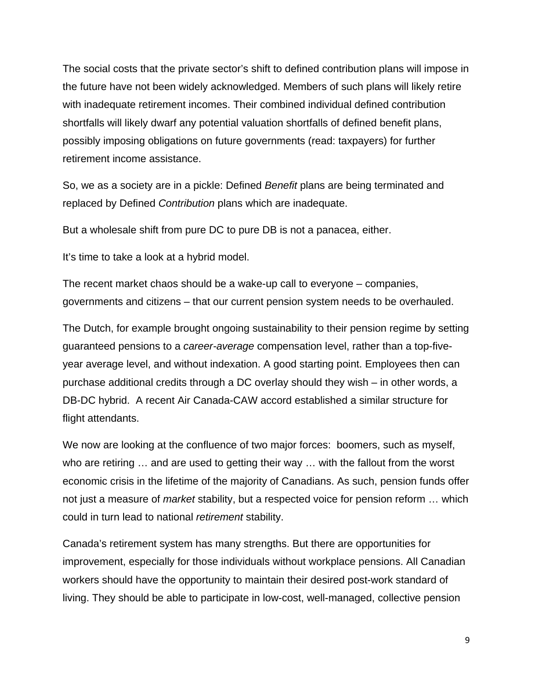The social costs that the private sector's shift to defined contribution plans will impose in the future have not been widely acknowledged. Members of such plans will likely retire with inadequate retirement incomes. Their combined individual defined contribution shortfalls will likely dwarf any potential valuation shortfalls of defined benefit plans, possibly imposing obligations on future governments (read: taxpayers) for further retirement income assistance.

So, we as a society are in a pickle: Defined *Benefit* plans are being terminated and replaced by Defined *Contribution* plans which are inadequate.

But a wholesale shift from pure DC to pure DB is not a panacea, either.

It's time to take a look at a hybrid model.

The recent market chaos should be a wake-up call to everyone – companies, governments and citizens – that our current pension system needs to be overhauled.

The Dutch, for example brought ongoing sustainability to their pension regime by setting guaranteed pensions to a *career-average* compensation level, rather than a top-fiveyear average level, and without indexation. A good starting point. Employees then can purchase additional credits through a DC overlay should they wish – in other words, a DB-DC hybrid. A recent Air Canada-CAW accord established a similar structure for flight attendants.

We now are looking at the confluence of two major forces: boomers, such as myself, who are retiring … and are used to getting their way … with the fallout from the worst economic crisis in the lifetime of the majority of Canadians. As such, pension funds offer not just a measure of *market* stability, but a respected voice for pension reform … which could in turn lead to national *retirement* stability.

Canada's retirement system has many strengths. But there are opportunities for improvement, especially for those individuals without workplace pensions. All Canadian workers should have the opportunity to maintain their desired post-work standard of living. They should be able to participate in low-cost, well-managed, collective pension